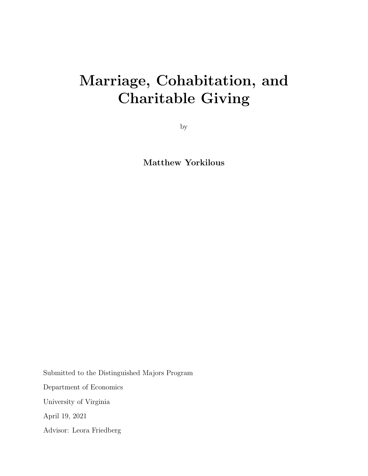# Marriage, Cohabitation, and Charitable Giving

by

Matthew Yorkilous

Submitted to the Distinguished Majors Program Department of Economics University of Virginia April 19, 2021 Advisor: Leora Friedberg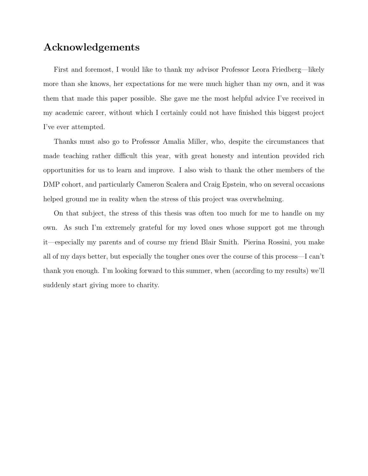## Acknowledgements

First and foremost, I would like to thank my advisor Professor Leora Friedberg—likely more than she knows, her expectations for me were much higher than my own, and it was them that made this paper possible. She gave me the most helpful advice I've received in my academic career, without which I certainly could not have finished this biggest project I've ever attempted.

Thanks must also go to Professor Amalia Miller, who, despite the circumstances that made teaching rather difficult this year, with great honesty and intention provided rich opportunities for us to learn and improve. I also wish to thank the other members of the DMP cohort, and particularly Cameron Scalera and Craig Epstein, who on several occasions helped ground me in reality when the stress of this project was overwhelming.

On that subject, the stress of this thesis was often too much for me to handle on my own. As such I'm extremely grateful for my loved ones whose support got me through it—especially my parents and of course my friend Blair Smith. Pierina Rossini, you make all of my days better, but especially the tougher ones over the course of this process—I can't thank you enough. I'm looking forward to this summer, when (according to my results) we'll suddenly start giving more to charity.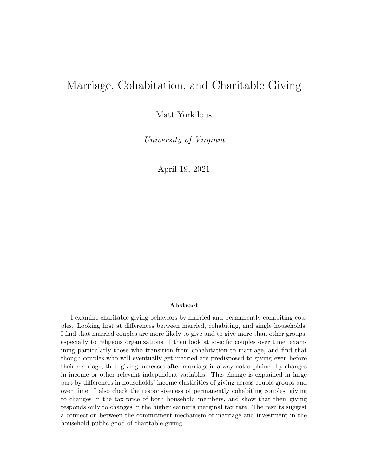## Marriage, Cohabitation, and Charitable Giving

Matt Yorkilous

University of Virginia

April 19, 2021

#### Abstract

I examine charitable giving behaviors by married and permanently cohabiting couples. Looking first at differences between married, cohabiting, and single households, I find that married couples are more likely to give and to give more than other groups, especially to religious organizations. I then look at specific couples over time, examining particularly those who transition from cohabitation to marriage, and find that though couples who will eventually get married are predisposed to giving even before their marriage, their giving increases after marriage in a way not explained by changes in income or other relevant independent variables. This change is explained in large part by differences in households' income elasticities of giving across couple groups and over time. I also check the responsiveness of permanently cohabiting couples' giving to changes in the tax-price of both household members, and show that their giving responds only to changes in the higher earner's marginal tax rate. The results suggest a connection between the commitment mechanism of marriage and investment in the household public good of charitable giving.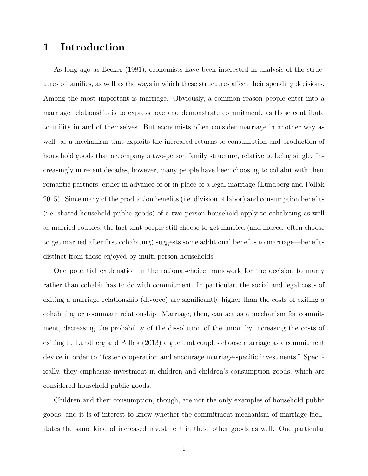## 1 Introduction

As long ago as Becker (1981), economists have been interested in analysis of the structures of families, as well as the ways in which these structures affect their spending decisions. Among the most important is marriage. Obviously, a common reason people enter into a marriage relationship is to express love and demonstrate commitment, as these contribute to utility in and of themselves. But economists often consider marriage in another way as well: as a mechanism that exploits the increased returns to consumption and production of household goods that accompany a two-person family structure, relative to being single. Increasingly in recent decades, however, many people have been choosing to cohabit with their romantic partners, either in advance of or in place of a legal marriage (Lundberg and Pollak 2015). Since many of the production benefits (i.e. division of labor) and consumption benefits (i.e. shared household public goods) of a two-person household apply to cohabiting as well as married couples, the fact that people still choose to get married (and indeed, often choose to get married after first cohabiting) suggests some additional benefits to marriage—benefits distinct from those enjoyed by multi-person households.

One potential explanation in the rational-choice framework for the decision to marry rather than cohabit has to do with commitment. In particular, the social and legal costs of exiting a marriage relationship (divorce) are significantly higher than the costs of exiting a cohabiting or roommate relationship. Marriage, then, can act as a mechanism for commitment, decreasing the probability of the dissolution of the union by increasing the costs of exiting it. Lundberg and Pollak (2013) argue that couples choose marriage as a commitment device in order to "foster cooperation and encourage marriage-specific investments." Specifically, they emphasize investment in children and children's consumption goods, which are considered household public goods.

Children and their consumption, though, are not the only examples of household public goods, and it is of interest to know whether the commitment mechanism of marriage facilitates the same kind of increased investment in these other goods as well. One particular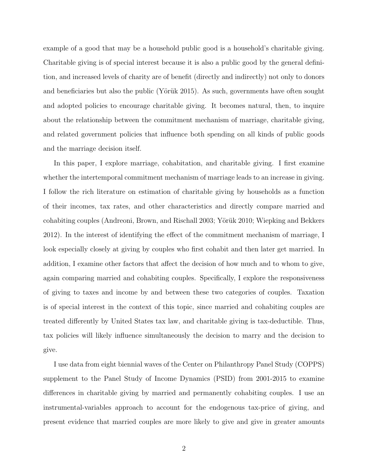example of a good that may be a household public good is a household's charitable giving. Charitable giving is of special interest because it is also a public good by the general definition, and increased levels of charity are of benefit (directly and indirectly) not only to donors and beneficiaries but also the public (Yörük 2015). As such, governments have often sought and adopted policies to encourage charitable giving. It becomes natural, then, to inquire about the relationship between the commitment mechanism of marriage, charitable giving, and related government policies that influence both spending on all kinds of public goods and the marriage decision itself.

In this paper, I explore marriage, cohabitation, and charitable giving. I first examine whether the intertemporal commitment mechanism of marriage leads to an increase in giving. I follow the rich literature on estimation of charitable giving by households as a function of their incomes, tax rates, and other characteristics and directly compare married and cohabiting couples (Andreoni, Brown, and Rischall 2003; Yörük 2010; Wiepking and Bekkers 2012). In the interest of identifying the effect of the commitment mechanism of marriage, I look especially closely at giving by couples who first cohabit and then later get married. In addition, I examine other factors that affect the decision of how much and to whom to give, again comparing married and cohabiting couples. Specifically, I explore the responsiveness of giving to taxes and income by and between these two categories of couples. Taxation is of special interest in the context of this topic, since married and cohabiting couples are treated differently by United States tax law, and charitable giving is tax-deductible. Thus, tax policies will likely influence simultaneously the decision to marry and the decision to give.

I use data from eight biennial waves of the Center on Philanthropy Panel Study (COPPS) supplement to the Panel Study of Income Dynamics (PSID) from 2001-2015 to examine differences in charitable giving by married and permanently cohabiting couples. I use an instrumental-variables approach to account for the endogenous tax-price of giving, and present evidence that married couples are more likely to give and give in greater amounts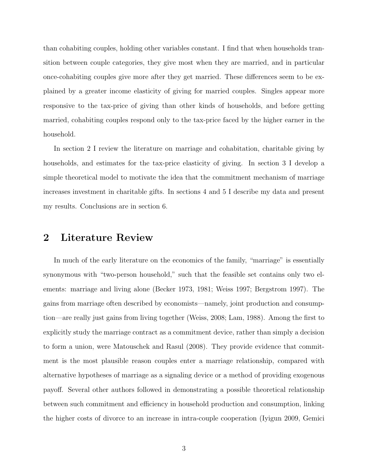than cohabiting couples, holding other variables constant. I find that when households transition between couple categories, they give most when they are married, and in particular once-cohabiting couples give more after they get married. These differences seem to be explained by a greater income elasticity of giving for married couples. Singles appear more responsive to the tax-price of giving than other kinds of households, and before getting married, cohabiting couples respond only to the tax-price faced by the higher earner in the household.

In section 2 I review the literature on marriage and cohabitation, charitable giving by households, and estimates for the tax-price elasticity of giving. In section 3 I develop a simple theoretical model to motivate the idea that the commitment mechanism of marriage increases investment in charitable gifts. In sections 4 and 5 I describe my data and present my results. Conclusions are in section 6.

#### 2 Literature Review

In much of the early literature on the economics of the family, "marriage" is essentially synonymous with "two-person household," such that the feasible set contains only two elements: marriage and living alone (Becker 1973, 1981; Weiss 1997; Bergstrom 1997). The gains from marriage often described by economists—namely, joint production and consumption—are really just gains from living together (Weiss, 2008; Lam, 1988). Among the first to explicitly study the marriage contract as a commitment device, rather than simply a decision to form a union, were Matouschek and Rasul (2008). They provide evidence that commitment is the most plausible reason couples enter a marriage relationship, compared with alternative hypotheses of marriage as a signaling device or a method of providing exogenous payoff. Several other authors followed in demonstrating a possible theoretical relationship between such commitment and efficiency in household production and consumption, linking the higher costs of divorce to an increase in intra-couple cooperation (Iyigun 2009, Gemici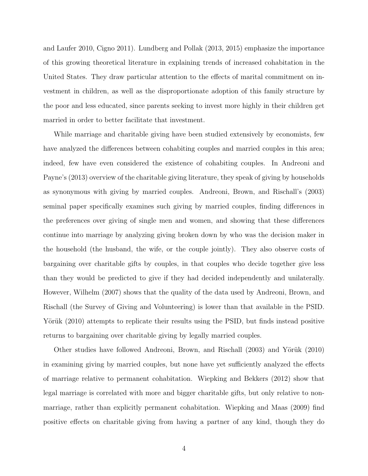and Laufer 2010, Cigno 2011). Lundberg and Pollak (2013, 2015) emphasize the importance of this growing theoretical literature in explaining trends of increased cohabitation in the United States. They draw particular attention to the effects of marital commitment on investment in children, as well as the disproportionate adoption of this family structure by the poor and less educated, since parents seeking to invest more highly in their children get married in order to better facilitate that investment.

While marriage and charitable giving have been studied extensively by economists, few have analyzed the differences between cohabiting couples and married couples in this area; indeed, few have even considered the existence of cohabiting couples. In Andreoni and Payne's (2013) overview of the charitable giving literature, they speak of giving by households as synonymous with giving by married couples. Andreoni, Brown, and Rischall's (2003) seminal paper specifically examines such giving by married couples, finding differences in the preferences over giving of single men and women, and showing that these differences continue into marriage by analyzing giving broken down by who was the decision maker in the household (the husband, the wife, or the couple jointly). They also observe costs of bargaining over charitable gifts by couples, in that couples who decide together give less than they would be predicted to give if they had decided independently and unilaterally. However, Wilhelm (2007) shows that the quality of the data used by Andreoni, Brown, and Rischall (the Survey of Giving and Volunteering) is lower than that available in the PSID. Yörük (2010) attempts to replicate their results using the PSID, but finds instead positive returns to bargaining over charitable giving by legally married couples.

Other studies have followed Andreoni, Brown, and Rischall (2003) and Yörük (2010) in examining giving by married couples, but none have yet sufficiently analyzed the effects of marriage relative to permanent cohabitation. Wiepking and Bekkers (2012) show that legal marriage is correlated with more and bigger charitable gifts, but only relative to nonmarriage, rather than explicitly permanent cohabitation. Wiepking and Maas (2009) find positive effects on charitable giving from having a partner of any kind, though they do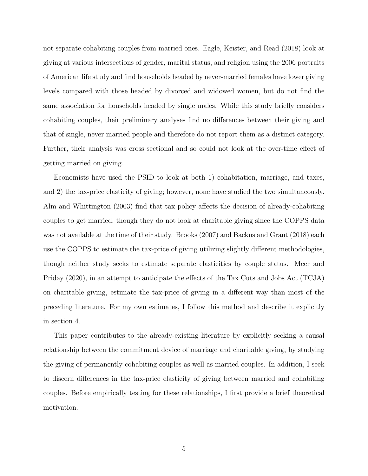not separate cohabiting couples from married ones. Eagle, Keister, and Read (2018) look at giving at various intersections of gender, marital status, and religion using the 2006 portraits of American life study and find households headed by never-married females have lower giving levels compared with those headed by divorced and widowed women, but do not find the same association for households headed by single males. While this study briefly considers cohabiting couples, their preliminary analyses find no differences between their giving and that of single, never married people and therefore do not report them as a distinct category. Further, their analysis was cross sectional and so could not look at the over-time effect of getting married on giving.

Economists have used the PSID to look at both 1) cohabitation, marriage, and taxes, and 2) the tax-price elasticity of giving; however, none have studied the two simultaneously. Alm and Whittington (2003) find that tax policy affects the decision of already-cohabiting couples to get married, though they do not look at charitable giving since the COPPS data was not available at the time of their study. Brooks (2007) and Backus and Grant (2018) each use the COPPS to estimate the tax-price of giving utilizing slightly different methodologies, though neither study seeks to estimate separate elasticities by couple status. Meer and Priday (2020), in an attempt to anticipate the effects of the Tax Cuts and Jobs Act (TCJA) on charitable giving, estimate the tax-price of giving in a different way than most of the preceding literature. For my own estimates, I follow this method and describe it explicitly in section 4.

This paper contributes to the already-existing literature by explicitly seeking a causal relationship between the commitment device of marriage and charitable giving, by studying the giving of permanently cohabiting couples as well as married couples. In addition, I seek to discern differences in the tax-price elasticity of giving between married and cohabiting couples. Before empirically testing for these relationships, I first provide a brief theoretical motivation.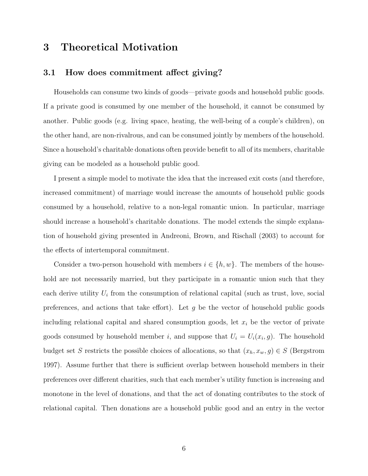## 3 Theoretical Motivation

#### 3.1 How does commitment affect giving?

Households can consume two kinds of goods—private goods and household public goods. If a private good is consumed by one member of the household, it cannot be consumed by another. Public goods (e.g. living space, heating, the well-being of a couple's children), on the other hand, are non-rivalrous, and can be consumed jointly by members of the household. Since a household's charitable donations often provide benefit to all of its members, charitable giving can be modeled as a household public good.

I present a simple model to motivate the idea that the increased exit costs (and therefore, increased commitment) of marriage would increase the amounts of household public goods consumed by a household, relative to a non-legal romantic union. In particular, marriage should increase a household's charitable donations. The model extends the simple explanation of household giving presented in Andreoni, Brown, and Rischall (2003) to account for the effects of intertemporal commitment.

Consider a two-person household with members  $i \in \{h, w\}$ . The members of the household are not necessarily married, but they participate in a romantic union such that they each derive utility  $U_i$  from the consumption of relational capital (such as trust, love, social preferences, and actions that take effort). Let  $g$  be the vector of household public goods including relational capital and shared consumption goods, let  $x_i$  be the vector of private goods consumed by household member i, and suppose that  $U_i = U_i(x_i, g)$ . The household budget set S restricts the possible choices of allocations, so that  $(x_h, x_w, g) \in S$  (Bergstrom 1997). Assume further that there is sufficient overlap between household members in their preferences over different charities, such that each member's utility function is increasing and monotone in the level of donations, and that the act of donating contributes to the stock of relational capital. Then donations are a household public good and an entry in the vector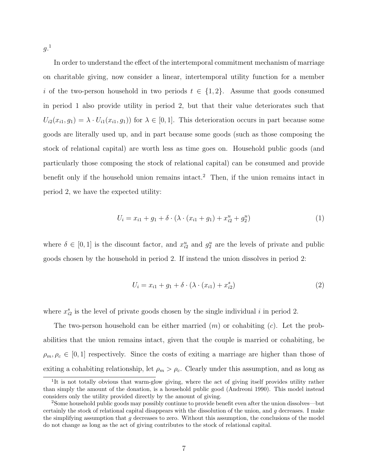$g.^1$ 

In order to understand the effect of the intertemporal commitment mechanism of marriage on charitable giving, now consider a linear, intertemporal utility function for a member i of the two-person household in two periods  $t \in \{1,2\}$ . Assume that goods consumed in period 1 also provide utility in period 2, but that their value deteriorates such that  $U_{i2}(x_{i1}, g_1) = \lambda \cdot U_{i1}(x_{i1}, g_1)$  for  $\lambda \in [0, 1]$ . This deterioration occurs in part because some goods are literally used up, and in part because some goods (such as those composing the stock of relational capital) are worth less as time goes on. Household public goods (and particularly those composing the stock of relational capital) can be consumed and provide benefit only if the household union remains intact.<sup>2</sup> Then, if the union remains intact in period 2, we have the expected utility:

$$
U_i = x_{i1} + g_1 + \delta \cdot (\lambda \cdot (x_{i1} + g_1) + x_{i2}^u + g_2^u)
$$
 (1)

where  $\delta \in [0,1]$  is the discount factor, and  $x_{i2}^u$  and  $g_2^u$  are the levels of private and public goods chosen by the household in period 2. If instead the union dissolves in period 2:

$$
U_i = x_{i1} + g_1 + \delta \cdot (\lambda \cdot (x_{i1}) + x_{i2}^s)
$$
 (2)

where  $x_{i2}^s$  is the level of private goods chosen by the single individual i in period 2.

The two-person household can be either married  $(m)$  or cohabiting  $(c)$ . Let the probabilities that the union remains intact, given that the couple is married or cohabiting, be  $\rho_m, \rho_c \in [0, 1]$  respectively. Since the costs of exiting a marriage are higher than those of exiting a cohabiting relationship, let  $\rho_m > \rho_c$ . Clearly under this assumption, and as long as

<sup>&</sup>lt;sup>1</sup>It is not totally obvious that warm-glow giving, where the act of giving itself provides utility rather than simply the amount of the donation, is a household public good (Andreoni 1990). This model instead considers only the utility provided directly by the amount of giving.

<sup>2</sup>Some household public goods may possibly continue to provide benefit even after the union dissolves—but certainly the stock of relational capital disappears with the dissolution of the union, and  $q$  decreases. I make the simplifying assumption that  $g$  decreases to zero. Without this assumption, the conclusions of the model do not change as long as the act of giving contributes to the stock of relational capital.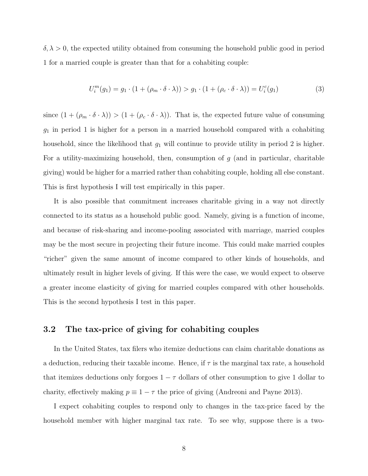$\delta, \lambda > 0$ , the expected utility obtained from consuming the household public good in period 1 for a married couple is greater than that for a cohabiting couple:

$$
U_i^m(g_1) = g_1 \cdot (1 + (\rho_m \cdot \delta \cdot \lambda)) > g_1 \cdot (1 + (\rho_c \cdot \delta \cdot \lambda)) = U_i^c(g_1)
$$
 (3)

since  $(1 + (\rho_m \cdot \delta \cdot \lambda)) > (1 + (\rho_c \cdot \delta \cdot \lambda))$ . That is, the expected future value of consuming  $g_1$  in period 1 is higher for a person in a married household compared with a cohabiting household, since the likelihood that  $g_1$  will continue to provide utility in period 2 is higher. For a utility-maximizing household, then, consumption of  $g$  (and in particular, charitable giving) would be higher for a married rather than cohabiting couple, holding all else constant. This is first hypothesis I will test empirically in this paper.

It is also possible that commitment increases charitable giving in a way not directly connected to its status as a household public good. Namely, giving is a function of income, and because of risk-sharing and income-pooling associated with marriage, married couples may be the most secure in projecting their future income. This could make married couples "richer" given the same amount of income compared to other kinds of households, and ultimately result in higher levels of giving. If this were the case, we would expect to observe a greater income elasticity of giving for married couples compared with other households. This is the second hypothesis I test in this paper.

#### 3.2 The tax-price of giving for cohabiting couples

In the United States, tax filers who itemize deductions can claim charitable donations as a deduction, reducing their taxable income. Hence, if  $\tau$  is the marginal tax rate, a household that itemizes deductions only forgoes  $1 - \tau$  dollars of other consumption to give 1 dollar to charity, effectively making  $p \equiv 1 - \tau$  the price of giving (Andreoni and Payne 2013).

I expect cohabiting couples to respond only to changes in the tax-price faced by the household member with higher marginal tax rate. To see why, suppose there is a two-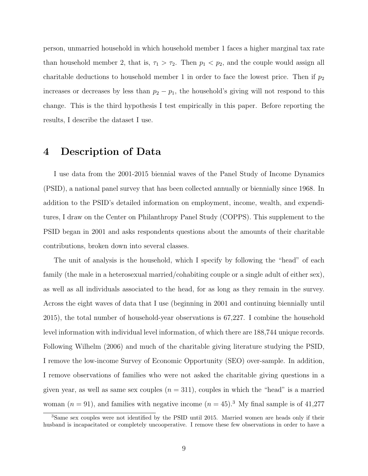person, unmarried household in which household member 1 faces a higher marginal tax rate than household member 2, that is,  $\tau_1 > \tau_2$ . Then  $p_1 < p_2$ , and the couple would assign all charitable deductions to household member 1 in order to face the lowest price. Then if  $p_2$ increases or decreases by less than  $p_2 - p_1$ , the household's giving will not respond to this change. This is the third hypothesis I test empirically in this paper. Before reporting the results, I describe the dataset I use.

### 4 Description of Data

I use data from the 2001-2015 biennial waves of the Panel Study of Income Dynamics (PSID), a national panel survey that has been collected annually or biennially since 1968. In addition to the PSID's detailed information on employment, income, wealth, and expenditures, I draw on the Center on Philanthropy Panel Study (COPPS). This supplement to the PSID began in 2001 and asks respondents questions about the amounts of their charitable contributions, broken down into several classes.

The unit of analysis is the household, which I specify by following the "head" of each family (the male in a heterosexual married/cohabiting couple or a single adult of either sex), as well as all individuals associated to the head, for as long as they remain in the survey. Across the eight waves of data that I use (beginning in 2001 and continuing biennially until 2015), the total number of household-year observations is 67,227. I combine the household level information with individual level information, of which there are 188,744 unique records. Following Wilhelm (2006) and much of the charitable giving literature studying the PSID, I remove the low-income Survey of Economic Opportunity (SEO) over-sample. In addition, I remove observations of families who were not asked the charitable giving questions in a given year, as well as same sex couples  $(n = 311)$ , couples in which the "head" is a married woman  $(n = 91)$ , and families with negative income  $(n = 45)^3$  My final sample is of 41,277

<sup>3</sup>Same sex couples were not identified by the PSID until 2015. Married women are heads only if their husband is incapacitated or completely uncooperative. I remove these few observations in order to have a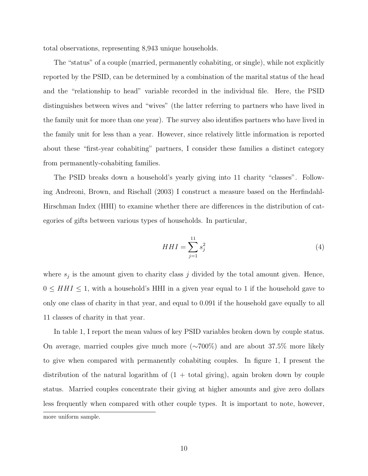total observations, representing 8,943 unique households.

The "status" of a couple (married, permanently cohabiting, or single), while not explicitly reported by the PSID, can be determined by a combination of the marital status of the head and the "relationship to head" variable recorded in the individual file. Here, the PSID distinguishes between wives and "wives" (the latter referring to partners who have lived in the family unit for more than one year). The survey also identifies partners who have lived in the family unit for less than a year. However, since relatively little information is reported about these "first-year cohabiting" partners, I consider these families a distinct category from permanently-cohabiting families.

The PSID breaks down a household's yearly giving into 11 charity "classes". Following Andreoni, Brown, and Rischall (2003) I construct a measure based on the Herfindahl-Hirschman Index (HHI) to examine whether there are differences in the distribution of categories of gifts between various types of households. In particular,

$$
HHI = \sum_{j=1}^{11} s_j^2 \tag{4}
$$

where  $s_j$  is the amount given to charity class j divided by the total amount given. Hence,  $0 \leq HHI \leq 1$ , with a household's HHI in a given year equal to 1 if the household gave to only one class of charity in that year, and equal to 0.091 if the household gave equally to all 11 classes of charity in that year.

In table 1, I report the mean values of key PSID variables broken down by couple status. On average, married couples give much more (∼700%) and are about 37.5% more likely to give when compared with permanently cohabiting couples. In figure 1, I present the distribution of the natural logarithm of  $(1 + total giving)$ , again broken down by couple status. Married couples concentrate their giving at higher amounts and give zero dollars less frequently when compared with other couple types. It is important to note, however, more uniform sample.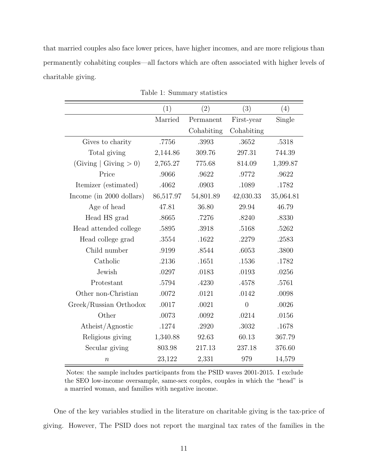that married couples also face lower prices, have higher incomes, and are more religious than permanently cohabiting couples—all factors which are often associated with higher levels of charitable giving.

|                            | (1)       | (2)        | (3)            | (4)       |
|----------------------------|-----------|------------|----------------|-----------|
|                            | Married   | Permanent  | First-year     | Single    |
|                            |           | Cohabiting | Cohabiting     |           |
| Gives to charity           | .7756     | .3993      | .3652          | .5318     |
| Total giving               | 2,144.86  | 309.76     | 297.31         | 744.39    |
| (Giving $ $ Giving $> 0$ ) | 2,765.27  | 775.68     | 814.09         | 1,399.87  |
| Price                      | .9066     | .9622      | .9772          | .9622     |
| Itemizer (estimated)       | .4062     | .0903      | .1089          | .1782     |
| Income (in 2000 dollars)   | 86,517.97 | 54,801.89  | 42,030.33      | 35,064.81 |
| Age of head                | 47.81     | 36.80      | 29.94          | 46.79     |
| Head HS grad               | .8665     | .7276      | .8240          | .8330     |
| Head attended college      | .5895     | .3918      | .5168          | .5262     |
| Head college grad          | .3554     | .1622      | .2279          | .2583     |
| Child number               | .9199     | .8544      | .6053          | .3800     |
| Catholic                   | .2136     | .1651      | .1536          | .1782     |
| Jewish                     | .0297     | .0183      | .0193          | .0256     |
| Protestant                 | .5794     | .4230      | .4578          | .5761     |
| Other non-Christian        | .0072     | .0121      | .0142          | .0098     |
| Greek/Russian Orthodox     | .0017     | .0021      | $\overline{0}$ | .0026     |
| Other                      | .0073     | .0092      | .0214          | .0156     |
| Atheist/Agnostic           | .1274     | .2920      | .3032          | .1678     |
| Religious giving           | 1,340.88  | 92.63      | 60.13          | 367.79    |
| Secular giving             | 803.98    | 217.13     | 237.18         | 376.60    |
| $\boldsymbol{n}$           | 23,122    | 2,331      | 979            | 14,579    |

Table 1: Summary statistics

Notes: the sample includes participants from the PSID waves 2001-2015. I exclude the SEO low-income oversample, same-sex couples, couples in which the "head" is a married woman, and families with negative income.

One of the key variables studied in the literature on charitable giving is the tax-price of giving. However, The PSID does not report the marginal tax rates of the families in the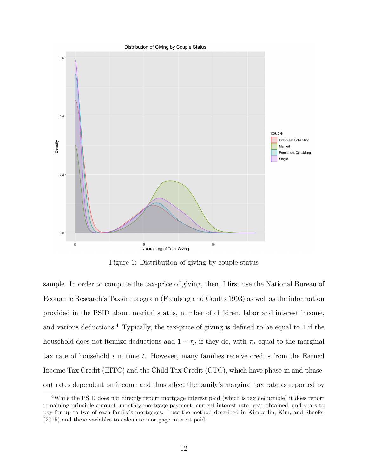

Figure 1: Distribution of giving by couple status

sample. In order to compute the tax-price of giving, then, I first use the National Bureau of Economic Research's Taxsim program (Feenberg and Coutts 1993) as well as the information provided in the PSID about marital status, number of children, labor and interest income, and various deductions.<sup>4</sup> Typically, the tax-price of giving is defined to be equal to 1 if the household does not itemize deductions and  $1 - \tau_{it}$  if they do, with  $\tau_{it}$  equal to the marginal tax rate of household  $i$  in time  $t$ . However, many families receive credits from the Earned Income Tax Credit (EITC) and the Child Tax Credit (CTC), which have phase-in and phaseout rates dependent on income and thus affect the family's marginal tax rate as reported by

<sup>4</sup>While the PSID does not directly report mortgage interest paid (which is tax deductible) it does report remaining principle amount, monthly mortgage payment, current interest rate, year obtained, and years to pay for up to two of each family's mortgages. I use the method described in Kimberlin, Kim, and Shaefer (2015) and these variables to calculate mortgage interest paid.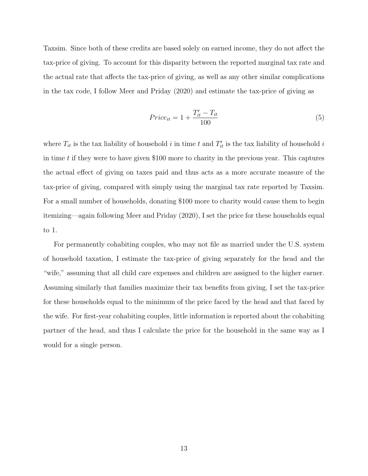Taxsim. Since both of these credits are based solely on earned income, they do not affect the tax-price of giving. To account for this disparity between the reported marginal tax rate and the actual rate that affects the tax-price of giving, as well as any other similar complications in the tax code, I follow Meer and Priday (2020) and estimate the tax-price of giving as

$$
Price_{it} = 1 + \frac{T'_{it} - T_{it}}{100}
$$
\n(5)

where  $T_{it}$  is the tax liability of household i in time t and  $T'_{it}$  is the tax liability of household i in time  $t$  if they were to have given \$100 more to charity in the previous year. This captures the actual effect of giving on taxes paid and thus acts as a more accurate measure of the tax-price of giving, compared with simply using the marginal tax rate reported by Taxsim. For a small number of households, donating \$100 more to charity would cause them to begin itemizing—again following Meer and Priday (2020), I set the price for these households equal to 1.

For permanently cohabiting couples, who may not file as married under the U.S. system of household taxation, I estimate the tax-price of giving separately for the head and the "wife," assuming that all child care expenses and children are assigned to the higher earner. Assuming similarly that families maximize their tax benefits from giving, I set the tax-price for these households equal to the minimum of the price faced by the head and that faced by the wife. For first-year cohabiting couples, little information is reported about the cohabiting partner of the head, and thus I calculate the price for the household in the same way as I would for a single person.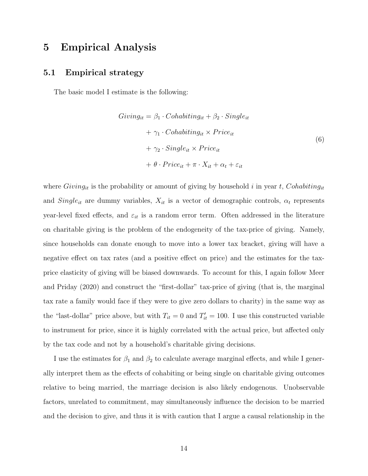## 5 Empirical Analysis

#### 5.1 Empirical strategy

The basic model I estimate is the following:

$$
Giving_{it} = \beta_1 \cdot Cohabiting_{it} + \beta_2 \cdot Single_{it}
$$
  
+  $\gamma_1 \cdot Cohabiting_{it} \times Price_{it}$   
+  $\gamma_2 \cdot Single_{it} \times Price_{it}$   
+  $\theta \cdot Price_{it} + \pi \cdot X_{it} + \alpha_t + \varepsilon_{it}$  (6)

where  $Giving_{it}$  is the probability or amount of giving by household i in year t, Cohabiting<sub>it</sub> and  $Single_{it}$  are dummy variables,  $X_{it}$  is a vector of demographic controls,  $\alpha_t$  represents year-level fixed effects, and  $\varepsilon_{it}$  is a random error term. Often addressed in the literature on charitable giving is the problem of the endogeneity of the tax-price of giving. Namely, since households can donate enough to move into a lower tax bracket, giving will have a negative effect on tax rates (and a positive effect on price) and the estimates for the taxprice elasticity of giving will be biased downwards. To account for this, I again follow Meer and Priday (2020) and construct the "first-dollar" tax-price of giving (that is, the marginal tax rate a family would face if they were to give zero dollars to charity) in the same way as the "last-dollar" price above, but with  $T_{it} = 0$  and  $T'_{it} = 100$ . I use this constructed variable to instrument for price, since it is highly correlated with the actual price, but affected only by the tax code and not by a household's charitable giving decisions.

I use the estimates for  $\beta_1$  and  $\beta_2$  to calculate average marginal effects, and while I generally interpret them as the effects of cohabiting or being single on charitable giving outcomes relative to being married, the marriage decision is also likely endogenous. Unobservable factors, unrelated to commitment, may simultaneously influence the decision to be married and the decision to give, and thus it is with caution that I argue a causal relationship in the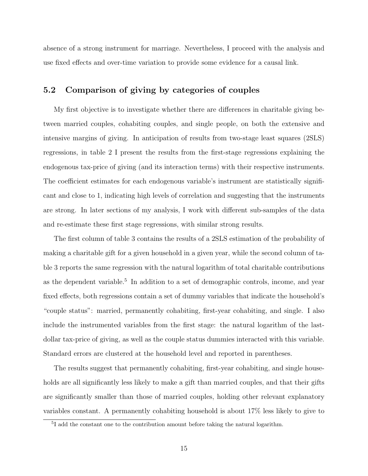absence of a strong instrument for marriage. Nevertheless, I proceed with the analysis and use fixed effects and over-time variation to provide some evidence for a causal link.

#### 5.2 Comparison of giving by categories of couples

My first objective is to investigate whether there are differences in charitable giving between married couples, cohabiting couples, and single people, on both the extensive and intensive margins of giving. In anticipation of results from two-stage least squares (2SLS) regressions, in table 2 I present the results from the first-stage regressions explaining the endogenous tax-price of giving (and its interaction terms) with their respective instruments. The coefficient estimates for each endogenous variable's instrument are statistically significant and close to 1, indicating high levels of correlation and suggesting that the instruments are strong. In later sections of my analysis, I work with different sub-samples of the data and re-estimate these first stage regressions, with similar strong results.

The first column of table 3 contains the results of a 2SLS estimation of the probability of making a charitable gift for a given household in a given year, while the second column of table 3 reports the same regression with the natural logarithm of total charitable contributions as the dependent variable.<sup>5</sup> In addition to a set of demographic controls, income, and year fixed effects, both regressions contain a set of dummy variables that indicate the household's "couple status": married, permanently cohabiting, first-year cohabiting, and single. I also include the instrumented variables from the first stage: the natural logarithm of the lastdollar tax-price of giving, as well as the couple status dummies interacted with this variable. Standard errors are clustered at the household level and reported in parentheses.

The results suggest that permanently cohabiting, first-year cohabiting, and single households are all significantly less likely to make a gift than married couples, and that their gifts are significantly smaller than those of married couples, holding other relevant explanatory variables constant. A permanently cohabiting household is about 17% less likely to give to

<sup>5</sup> I add the constant one to the contribution amount before taking the natural logarithm.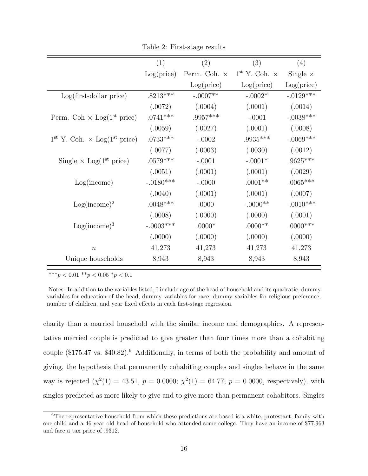|                                                | (1)         | (2)                 | (3)                    | (4)             |
|------------------------------------------------|-------------|---------------------|------------------------|-----------------|
|                                                | Log(price)  | Perm. Coh. $\times$ | $1st$ Y. Coh. $\times$ | Single $\times$ |
|                                                |             | Log(price)          | Log(price)             | Log(price)      |
| $Log(first-dollar price)$                      | $.8213***$  | $-.0007**$          | $-.0002*$              | $-.0129***$     |
|                                                | (.0072)     | (.0004)             | (.0001)                | (.0014)         |
| Perm. Coh $\times$ Log(1 <sup>st</sup> price)  | $.0741***$  | $.9957***$          | $-.0001$               | $-.0038***$     |
|                                                | (.0059)     | (.0027)             | (.0001)                | (.0008)         |
| $1^{st}$ Y. Coh. $\times$ Log( $1^{st}$ price) | $.0733***$  | $-.0002$            | $.9935***$             | $-.0069***$     |
|                                                | (.0077)     | (.0003)             | (.0030)                | (.0012)         |
| Single $\times$ Log(1 <sup>st</sup> price)     | $.0579***$  | $-.0001$            | $-.0001*$              | $.9625***$      |
|                                                | (.0051)     | (.0001)             | (.0001)                | (.0029)         |
| Log(income)                                    | $-.0180***$ | $-.0000$            | $.0001**$              | $.0065***$      |
|                                                | (.0040)     | (.0001)             | (.0001)                | (.0007)         |
| $Log(income)^2$                                | $.0048***$  | .0000               | $-.0000**$             | $-.0010***$     |
|                                                | (.0008)     | (.0000)             | (.0000)                | (.0001)         |
| $Log(income)^3$                                | $-.0003***$ | $.0000*$            | $.0000**$              | $.0000$ ***     |
|                                                | (.0000)     | (.0000)             | (.0000)                | (.0000)         |
| $\boldsymbol{n}$                               | 41,273      | 41,273              | 41,273                 | 41,273          |
| Unique households                              | 8,943       | 8,943               | 8,943                  | 8,943           |

Table 2: First-stage results

\*\*\*p < 0.01 \*\*p < 0.05 \*p < 0.1

Notes: In addition to the variables listed, I include age of the head of household and its quadratic, dummy variables for education of the head, dummy variables for race, dummy variables for religious preference, number of children, and year fixed effects in each first-stage regression.

charity than a married household with the similar income and demographics. A representative married couple is predicted to give greater than four times more than a cohabiting couple (\$175.47 vs. \$40.82).<sup>6</sup> Additionally, in terms of both the probability and amount of giving, the hypothesis that permanently cohabiting couples and singles behave in the same way is rejected  $(\chi^2(1) = 43.51, p = 0.0000; \chi^2(1) = 64.77, p = 0.0000, \text{ respectively})$ , with singles predicted as more likely to give and to give more than permanent cohabitors. Singles

<sup>&</sup>lt;sup>6</sup>The representative household from which these predictions are based is a white, protestant, family with one child and a 46 year old head of household who attended some college. They have an income of \$77,963 and face a tax price of .9312.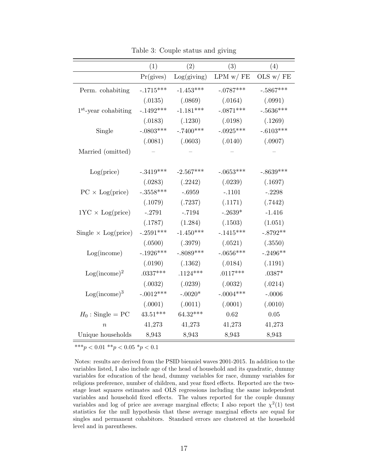|                            | (1)         | (2)         | (3)           | (4)          |
|----------------------------|-------------|-------------|---------------|--------------|
|                            | Pr(gives)   | Log(giving) | $LPM$ w/ $FE$ | OLS $w / FE$ |
| Perm. cohabiting           | $-.1715***$ | $-1.453***$ | $-.0787***$   | $-.5867***$  |
|                            | (.0135)     | (.0869)     | (.0164)       | (.0991)      |
| $1st$ -year cohabiting     | $-.1492***$ | $-1.181***$ | $-.0871***$   | $-.5636***$  |
|                            | (.0183)     | (.1230)     | (.0198)       | (.1269)      |
| Single                     | $-.0803***$ | $-.7400***$ | $-.0925***$   | $-.6103***$  |
|                            | (.0081)     | (.0603)     | (.0140)       | (.0907)      |
| Married (omitted)          |             |             |               |              |
|                            |             |             |               |              |
| Log(price)                 | $-.3419***$ | $-2.567***$ | $-.0653***$   | $-.8639***$  |
|                            | (.0283)     | (.2242)     | (.0239)       | (.1697)      |
| $PC \times Log(price)$     | $-.3558***$ | $-.6959$    | $-.1101$      | $-.2298$     |
|                            | (.1079)     | (.7237)     | (.1171)       | (.7442)      |
| $1YC \times Log(price)$    | $-.2791$    | $-.7194$    | $-.2639*$     | $-1.416$     |
|                            | (.1787)     | (1.284)     | (.1503)       | (1.051)      |
| Single $\times$ Log(price) | $-.2591***$ | $-1.450***$ | $-.1415***$   | $-.8792**$   |
|                            | (.0500)     | (.3979)     | (.0521)       | (.3550)      |
| Log(income)                | $-.1926***$ | $-.8089***$ | $-.0656***$   | $-.2496**$   |
|                            | (.0190)     | (.1362)     | (.0184)       | (.1191)      |
| $Log(income)^2$            | $.0337***$  | $.1124***$  | $.0117***$    | $.0387*$     |
|                            | (.0032)     | (.0239)     | (.0032)       | (.0214)      |
| $Log(income)^3$            | $-.0012***$ | $-.0020*$   | $-.0004***$   | $-.0006$     |
|                            | (.0001)     | (.0011)     | (.0001)       | (.0010)      |
| $H_0$ : Single = PC        | $43.51***$  | $64.32***$  | 0.62          | 0.05         |
| $\boldsymbol{n}$           | 41,273      | 41,273      | 41,273        | 41,273       |
| Unique households          | 8,943       | 8,943       | 8,943         | 8,943        |

Table 3: Couple status and giving

\*\*\*p <  $0.01$  \*\*p <  $0.05$  \*p <  $0.1$ 

Notes: results are derived from the PSID bienniel waves 2001-2015. In addition to the variables listed, I also include age of the head of household and its quadratic, dummy variables for education of the head, dummy variables for race, dummy variables for religious preference, number of children, and year fixed effects. Reported are the twostage least squares estimates and OLS regressions including the same independent variables and household fixed effects. The values reported for the couple dummy variables and log of price are average marginal effects; I also report the  $\chi^2(1)$  test statistics for the null hypothesis that these average marginal effects are equal for singles and permanent cohabitors. Standard errors are clustered at the household level and in parentheses.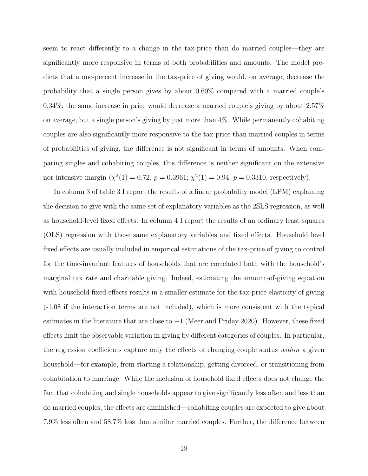seem to react differently to a change in the tax-price than do married couples—they are significantly more responsive in terms of both probabilities and amounts. The model predicts that a one-percent increase in the tax-price of giving would, on average, decrease the probability that a single person gives by about 0.60% compared with a married couple's 0.34%; the same increase in price would decrease a married couple's giving by about 2.57% on average, but a single person's giving by just more than 4%. While permanently cohabiting couples are also significantly more responsive to the tax-price than married couples in terms of probabilities of giving, the difference is not significant in terms of amounts. When comparing singles and cohabiting couples, this difference is neither significant on the extensive nor intensive margin  $(\chi^2(1) = 0.72, p = 0.3961; \chi^2(1) = 0.94, p = 0.3310,$  respectively).

In column 3 of table 3 I report the results of a linear probability model (LPM) explaining the decision to give with the same set of explanatory variables as the 2SLS regression, as well as household-level fixed effects. In column 4 I report the results of an ordinary least squares (OLS) regression with those same explanatory variables and fixed effects. Household level fixed effects are usually included in empirical estimations of the tax-price of giving to control for the time-invariant features of households that are correlated both with the household's marginal tax rate and charitable giving. Indeed, estimating the amount-of-giving equation with household fixed effects results in a smaller estimate for the tax-price elasticity of giving (-1.08 if the interaction terms are not included), which is more consistent with the typical estimates in the literature that are close to  $-1$  (Meer and Priday 2020). However, these fixed effects limit the observable variation in giving by different categories of couples. In particular, the regression coefficients capture only the effects of changing couple status within a given household—for example, from starting a relationship, getting divorced, or transitioning from cohabitation to marriage. While the inclusion of household fixed effects does not change the fact that cohabiting and single households appear to give significantly less often and less than do married couples, the effects are diminished—cohabiting couples are expected to give about 7.9% less often and 58.7% less than similar married couples. Further, the difference between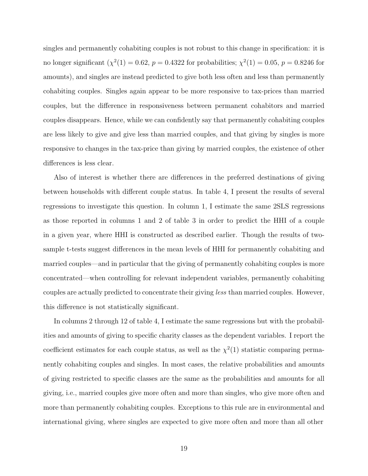singles and permanently cohabiting couples is not robust to this change in specification: it is no longer significant  $(\chi^2(1) = 0.62, p = 0.4322$  for probabilities;  $\chi^2(1) = 0.05, p = 0.8246$  for amounts), and singles are instead predicted to give both less often and less than permanently cohabiting couples. Singles again appear to be more responsive to tax-prices than married couples, but the difference in responsiveness between permanent cohabitors and married couples disappears. Hence, while we can confidently say that permanently cohabiting couples are less likely to give and give less than married couples, and that giving by singles is more responsive to changes in the tax-price than giving by married couples, the existence of other differences is less clear.

Also of interest is whether there are differences in the preferred destinations of giving between households with different couple status. In table 4, I present the results of several regressions to investigate this question. In column 1, I estimate the same 2SLS regressions as those reported in columns 1 and 2 of table 3 in order to predict the HHI of a couple in a given year, where HHI is constructed as described earlier. Though the results of twosample t-tests suggest differences in the mean levels of HHI for permanently cohabiting and married couples—and in particular that the giving of permanently cohabiting couples is more concentrated—when controlling for relevant independent variables, permanently cohabiting couples are actually predicted to concentrate their giving less than married couples. However, this difference is not statistically significant.

In columns 2 through 12 of table 4, I estimate the same regressions but with the probabilities and amounts of giving to specific charity classes as the dependent variables. I report the coefficient estimates for each couple status, as well as the  $\chi^2(1)$  statistic comparing permanently cohabiting couples and singles. In most cases, the relative probabilities and amounts of giving restricted to specific classes are the same as the probabilities and amounts for all giving, i.e., married couples give more often and more than singles, who give more often and more than permanently cohabiting couples. Exceptions to this rule are in environmental and international giving, where singles are expected to give more often and more than all other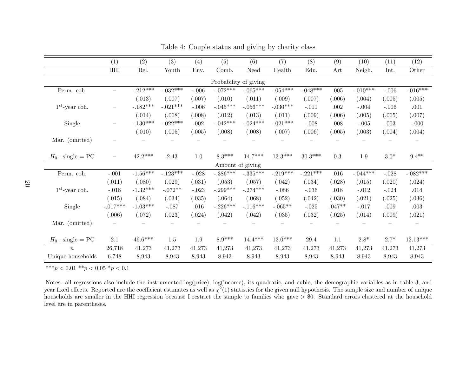|                     | (1)                      | (2)             | (3)        | (4)     | (5)                   | (6)                    | (7)        | (8)        | (9)      | (10)         | (11)    | (12)       |
|---------------------|--------------------------|-----------------|------------|---------|-----------------------|------------------------|------------|------------|----------|--------------|---------|------------|
|                     | $\rm HHI$                | Rel.            | Youth      | Env.    | Comb.                 | Need                   | Health     | Edu.       | Art      | Neigh.       | Int.    | Other      |
|                     |                          |                 |            |         | Probability of giving |                        |            |            |          |              |         |            |
| Perm. coh.          |                          | $-.212***$      | $-.032***$ | $-.006$ | $-.072***$            | $-.065***$             | $-.054***$ | $-.048***$ | $.005\,$ | $-.010***$   | $-.006$ | $-.016***$ |
|                     |                          | (.013)          | (.007)     | (.007)  | (.010)                | (.011)                 | (.009)     | (.007)     | (.006)   | (.004)       | (.005)  | (.005)     |
| $1st$ -year coh.    |                          | $-.182***$      | $-.021***$ | $-.006$ | $-.045***$            | $-.056***$             | $-.030***$ | $-.011$    | .002     | $-.004$      | $-.006$ | .001       |
|                     |                          | (.014)          | (.008)     | (.008)  | (.012)                | (.013)                 | (.011)     | (.009)     | (.006)   | (.005)       | (.005)  | (.007)     |
| Single              |                          | $-.130^{***}\,$ | $-.022***$ | .002    | $-.042***$            | $-.024***$             | $-.021***$ | $-.008$    | .008     | $-.005$      | .003    | $-.000$    |
|                     |                          | (.010)          | (.005)     | (.005)  | (.008)                | (.008)                 | (.007)     | (.006)     | (.005)   | (.003)       | (.004)  | (.004)     |
| Mar. (omitted)      |                          |                 |            |         |                       |                        |            |            |          |              |         |            |
|                     |                          |                 |            |         |                       |                        |            |            |          |              |         |            |
| $H_0$ : single = PC | $\overline{\phantom{0}}$ | $42.2***$       | 2.43       | $1.0\,$ | $8.3***$              | $14.7***$              | $13.3***$  | $30.3***$  | 0.3      | $1.9\,$      | $3.0*$  | $9.4**$    |
|                     |                          |                 |            |         | Amount of giving      |                        |            |            |          |              |         |            |
| Perm. coh.          | $-.001$                  | $-1.56***$      | $-.123***$ | $-.028$ | $-.386***$            | $-.335^{\ast\ast\ast}$ | $-.219***$ | $-.221***$ | .016     | $-.044***$   | $-.028$ | $-.082***$ |
|                     | (.011)                   | (.080)          | (.029)     | (.031)  | (.053)                | (.057)                 | (.042)     | (.034)     | (.028)   | (.015)       | (.020)  | (.024)     |
| $1st$ -year coh.    | $-.018$                  | $-1.32***$      | $-.072**$  | $-.023$ | $-.299***$            | $-.274***$             | $-.086$    | $-.036$    | .018     | $-.012$      | $-.024$ | .014       |
|                     | (.015)                   | (.084)          | (.034)     | (.035)  | (.064)                | (.068)                 | (.052)     | (.042)     | (.030)   | (.021)       | (.025)  | (.036)     |
| Single              | $-.017***$               | $-1.03***$      | $-.087$    | .016    | $-.226***$            | $-.116***$             | $-.065**$  | $-.025$    | $.047**$ | $-.017$      | .009    | .003       |
|                     | (.006)                   | (.072)          | (.023)     | (.024)  | (.042)                | (.042)                 | (.035)     | (.032)     | (.025)   | (.014)       | (.009)  | (.021)     |
| Mar. (omitted)      |                          |                 |            |         |                       |                        |            |            |          |              |         |            |
|                     |                          |                 |            |         |                       |                        |            |            |          |              |         |            |
| $H_0$ : single = PC | 2.1                      | $46.6***$       | $1.5\,$    | $1.9\,$ | $8.9^{\ast\ast\ast}$  | $14.4***$              | $13.0***$  | 29.4       | 1.1      | $2.8^{\ast}$ | $2.7*$  | $12.13***$ |
| $\boldsymbol{n}$    | 26,718                   | 41,273          | 41,273     | 41,273  | 41,273                | 41,273                 | 41,273     | 41,273     | 41,273   | 41,273       | 41,273  | 41,273     |
| Unique households   | 6,748                    | 8,943           | 8,943      | 8,943   | 8,943                 | 8,943                  | 8,943      | 8,943      | 8,943    | 8,943        | 8,943   | 8,943      |

Table 4: Couple status and giving by charity class

\*\*\* $p < 0.01$  \*\* $p < 0.05$  \* $p < 0.1$ 

Notes: all regressions also include the instrumented log(price); log(income), its quadratic, and cubic; the demographic variables as in table 3; andyear fixed effects. Reported are the coefficient estimates as well as  $\chi^2(1)$  statistics for the given null hypothesis. The sample size and number of unique households are smaller in the HHI regression because I restrict the sample to families who gave  $> $0$ . Standard errors clustered at the household level are in parentheses.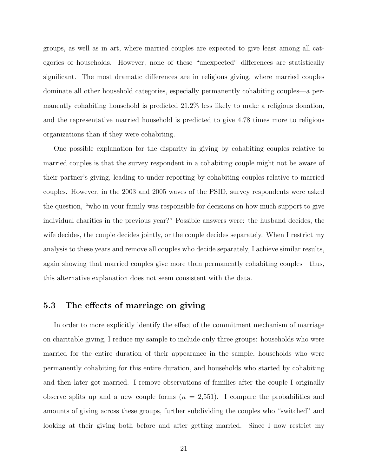groups, as well as in art, where married couples are expected to give least among all categories of households. However, none of these "unexpected" differences are statistically significant. The most dramatic differences are in religious giving, where married couples dominate all other household categories, especially permanently cohabiting couples—a permanently cohabiting household is predicted 21.2% less likely to make a religious donation, and the representative married household is predicted to give 4.78 times more to religious organizations than if they were cohabiting.

One possible explanation for the disparity in giving by cohabiting couples relative to married couples is that the survey respondent in a cohabiting couple might not be aware of their partner's giving, leading to under-reporting by cohabiting couples relative to married couples. However, in the 2003 and 2005 waves of the PSID, survey respondents were asked the question, "who in your family was responsible for decisions on how much support to give individual charities in the previous year?" Possible answers were: the husband decides, the wife decides, the couple decides jointly, or the couple decides separately. When I restrict my analysis to these years and remove all couples who decide separately, I achieve similar results, again showing that married couples give more than permanently cohabiting couples—thus, this alternative explanation does not seem consistent with the data.

#### 5.3 The effects of marriage on giving

In order to more explicitly identify the effect of the commitment mechanism of marriage on charitable giving, I reduce my sample to include only three groups: households who were married for the entire duration of their appearance in the sample, households who were permanently cohabiting for this entire duration, and households who started by cohabiting and then later got married. I remove observations of families after the couple I originally observe splits up and a new couple forms  $(n = 2,551)$ . I compare the probabilities and amounts of giving across these groups, further subdividing the couples who "switched" and looking at their giving both before and after getting married. Since I now restrict my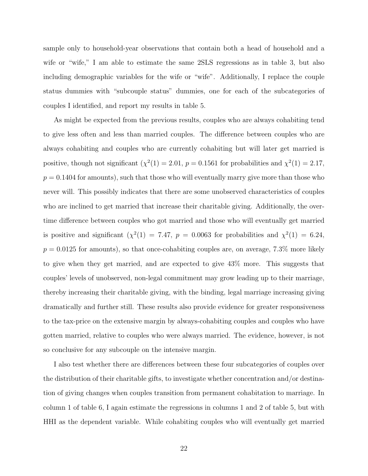sample only to household-year observations that contain both a head of household and a wife or "wife," I am able to estimate the same 2SLS regressions as in table 3, but also including demographic variables for the wife or "wife". Additionally, I replace the couple status dummies with "subcouple status" dummies, one for each of the subcategories of couples I identified, and report my results in table 5.

As might be expected from the previous results, couples who are always cohabiting tend to give less often and less than married couples. The difference between couples who are always cohabiting and couples who are currently cohabiting but will later get married is positive, though not significant  $(\chi^2(1) = 2.01, p = 0.1561$  for probabilities and  $\chi^2(1) = 2.17$ ,  $p = 0.1404$  for amounts), such that those who will eventually marry give more than those who never will. This possibly indicates that there are some unobserved characteristics of couples who are inclined to get married that increase their charitable giving. Additionally, the overtime difference between couples who got married and those who will eventually get married is positive and significant  $(\chi^2(1) = 7.47, p = 0.0063$  for probabilities and  $\chi^2(1) = 6.24$ ,  $p = 0.0125$  for amounts), so that once-cohabiting couples are, on average, 7.3% more likely to give when they get married, and are expected to give 43% more. This suggests that couples' levels of unobserved, non-legal commitment may grow leading up to their marriage, thereby increasing their charitable giving, with the binding, legal marriage increasing giving dramatically and further still. These results also provide evidence for greater responsiveness to the tax-price on the extensive margin by always-cohabiting couples and couples who have gotten married, relative to couples who were always married. The evidence, however, is not so conclusive for any subcouple on the intensive margin.

I also test whether there are differences between these four subcategories of couples over the distribution of their charitable gifts, to investigate whether concentration and/or destination of giving changes when couples transition from permanent cohabitation to marriage. In column 1 of table 6, I again estimate the regressions in columns 1 and 2 of table 5, but with HHI as the dependent variable. While cohabiting couples who will eventually get married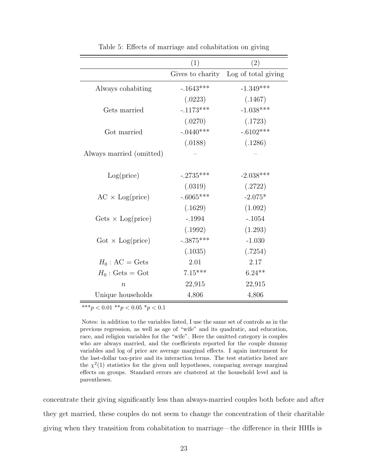|                                       | (1)              | (2)                 |
|---------------------------------------|------------------|---------------------|
|                                       | Gives to charity | Log of total giving |
| Always cohabiting                     | $-1643***$       | $-1.349***$         |
|                                       | (.0223)          | (.1467)             |
| Gets married                          | $-.1173***$      | $-1.038***$         |
|                                       | (.0270)          | (.1723)             |
| Got married                           | $-.0440***$      | $-.6102***$         |
|                                       | (.0188)          | (.1286)             |
| Always married (omitted)              |                  |                     |
| Log(price)                            | $-.2735***$      | $-2.038***$         |
|                                       | (.0319)          | (.2722)             |
| $AC \times Log(price)$                | $-.6065***$      | $-2.075*$           |
|                                       | (.1629)          | (1.092)             |
| Gets $\times$ Log(price)              | $-.1994$         | $-.1054$            |
|                                       | (.1992)          | (1.293)             |
| $\text{Got} \times \text{Log(price)}$ | $-.3875***$      | $-1.030$            |
|                                       | (.1035)          | (.7254)             |
| $H_0$ : AC = Gets                     | 2.01             | 2.17                |
| $H_0$ : Gets = Got                    | $7.15***$        | $6.24**$            |
| $\boldsymbol{n}$                      | 22,915           | 22,915              |
| Unique households                     | 4,806            | 4,806               |

Table 5: Effects of marriage and cohabitation on giving

 $\label{eq:4.1} \ast \ast \overline{\ast_p}<0.01\,\ast\ast_p<0.05\,\ast_p<0.1$ 

Notes: in addition to the variables listed, I use the same set of controls as in the previous regression, as well as age of "wife" and its quadratic, and education, race, and religion variables for the "wife". Here the omitted category is couples who are always married, and the coefficients reported for the couple dummy variables and log of price are average marginal effects. I again instrument for the last-dollar tax-price and its interaction terms. The test statistics listed are the  $\chi^2(1)$  statistics for the given null hypotheses, comparing average marginal effects on groups. Standard errors are clustered at the household level and in parentheses.

concentrate their giving significantly less than always-married couples both before and after they get married, these couples do not seem to change the concentration of their charitable giving when they transition from cohabitation to marriage—the difference in their HHIs is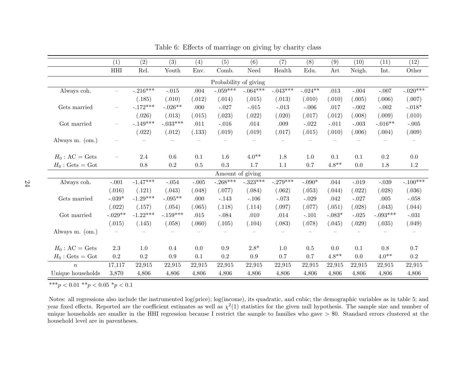|                    | (1)       | (2)        | (3)              | (4)     | (5)                   | (6)        | (7)        | (8)       | (9)              | (10)    | (11)       | (12)       |
|--------------------|-----------|------------|------------------|---------|-----------------------|------------|------------|-----------|------------------|---------|------------|------------|
|                    | HHI       | Rel.       | Youth            | Env.    | Comb.                 | Need       | Health     | Edu.      | Art              | Neigh.  | Int.       | Other      |
|                    |           |            |                  |         | Probability of giving |            |            |           |                  |         |            |            |
| Always coh.        |           | $-.216***$ | $\mathbf{-.015}$ | .004    | $-.059***$            | $-.064***$ | $-.043***$ | $-.024**$ | $.013\,$         | $-.004$ | $-.007$    | $-.020***$ |
|                    |           | (.185)     | (.010)           | (.012)  | (.014)                | (.015)     | (.013)     | (.010)    | (.010)           | (.005)  | (.006)     | (.007)     |
| Gets married       |           | $-.172***$ | $-.026**$        | .000    | $-.027$               | $-.015$    | $-.013$    | $-.006$   | .017             | $-.002$ | $-.002$    | $-.018*$   |
|                    |           | (.026)     | (.013)           | (.015)  | (.023)                | (.022)     | (.020)     | (.017)    | (.012)           | (.008)  | (.009)     | (.010)     |
| Got married        |           | $-.149***$ | $-.033***$       | .011    | $-.016$               | $.014\,$   | $.009$     | $-.022$   | $-.011$          | $-.003$ | $-.016**$  | $-.005$    |
|                    |           | (.022)     | (.012)           | (.133)  | (.019)                | (.019)     | (.017)     | (.015)    | (.010)           | (.006)  | (.004)     | (.009)     |
| Always m. (om.)    |           |            |                  |         |                       |            |            |           |                  |         |            |            |
|                    |           |            |                  |         |                       |            |            |           |                  |         |            |            |
| $H_0$ : AC = Gets  |           | $2.4\,$    | 0.6              | 0.1     | $1.6\,$               | $4.0**$    | 1.8        | $1.0\,$   | 0.1              | 0.1     | 0.2        | $0.0\,$    |
| $H_0$ : Gets = Got |           | $0.8\,$    | $\rm 0.2$        | 0.5     | $\rm 0.3$             | 1.7        | 1.1        | 0.7       | $4.8^{\ast\ast}$ | 0.0     | 1.8        | $1.2\,$    |
|                    |           |            |                  |         | Amount of giving      |            |            |           |                  |         |            |            |
| Always coh.        | $-.001$   | $-1.47***$ | $-.054$          | $-.005$ | $-.268***$            | $-.323***$ | $-.279***$ | $-.090*$  | .044             | $-.019$ | $-.039$    | $-.100***$ |
|                    | (.016)    | (.121)     | (.043)           | (.048)  | (.077)                | (.084)     | (.062)     | (.053)    | (.044)           | (.022)  | (.028)     | (.036)     |
| Gets married       | $-.039*$  | $-1.29***$ | $-.095**$        | .000    | $-.143$               | $-.106$    | $-.073$    | $-.029$   | .042             | $-.027$ | .005       | $-.058$    |
|                    | (.022)    | (.157)     | (.054)           | (.065)  | (.118)                | (.114)     | (.097)     | (.077)    | (.051)           | (.028)  | (.043)     | (.044)     |
| Got married        | $-.029**$ | $-1.22***$ | $-.159***$       | .015    | $-.084$               | .010       | .014       | $-.101$   | $-.083*$         | $-.025$ | $-.093***$ | $-.031$    |
|                    | (.015)    | (.145)     | (.058)           | (.060)  | (.105)                | (.104)     | (.083)     | (.078)    | (.045)           | (.029)  | (.035)     | (.049)     |
| Always m. (om.)    |           |            |                  |         |                       |            |            |           |                  |         |            |            |
|                    |           |            |                  |         |                       |            |            |           |                  |         |            |            |
| $H_0$ : AC = Gets  | 2.3       | $1.0\,$    | 0.4              | 0.0     | 0.9                   | $2.8*$     | 1.0        | 0.5       | 0.0              | 0.1     | 0.8        | $0.7\,$    |
| $H_0$ : Gets = Got | 0.2       | $\rm 0.2$  | $\rm 0.9$        | 0.1     | $\rm 0.2$             | $0.9\,$    | 0.7        | 0.7       | $4.8**$          | 0.0     | $4.0**$    | $\rm 0.2$  |
| $\boldsymbol{n}$   | 17,117    | 22,915     | 22,915           | 22,915  | 22,915                | 22,915     | 22,915     | 22,915    | 22,915           | 22,915  | 22,915     | 22,915     |
| Unique households  | 3,870     | 4,806      | 4,806            | 4,806   | 4,806                 | 4,806      | 4,806      | 4,806     | 4,806            | 4,806   | 4,806      | 4,806      |

Table 6: Effects of marriage on giving by charity class

\*\*\* $p < 0.01$  \*\* $p < 0.05$  \* $p < 0.1$ 

Notes: all regressions also include the instrumented log(price); log(income), its quadratic, and cubic; the demographic variables as in table 5; andyear fixed effects. Reported are the coefficient estimates as well as  $\chi^2(1)$  statistics for the given null hypothesis. The sample size and number of unique households are smaller in the HHI regression because I restrict the sample to families who gave  $> $0$ . Standard errors clustered at the household level are in parentheses.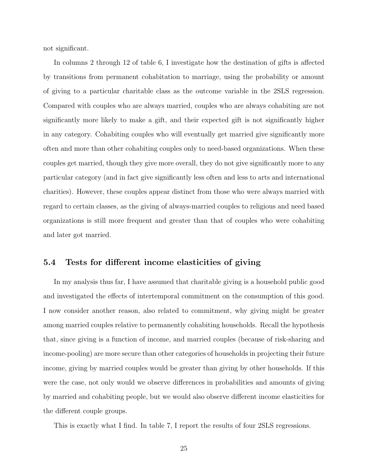not significant.

In columns 2 through 12 of table 6, I investigate how the destination of gifts is affected by transitions from permanent cohabitation to marriage, using the probability or amount of giving to a particular charitable class as the outcome variable in the 2SLS regression. Compared with couples who are always married, couples who are always cohabiting are not significantly more likely to make a gift, and their expected gift is not significantly higher in any category. Cohabiting couples who will eventually get married give significantly more often and more than other cohabiting couples only to need-based organizations. When these couples get married, though they give more overall, they do not give significantly more to any particular category (and in fact give significantly less often and less to arts and international charities). However, these couples appear distinct from those who were always married with regard to certain classes, as the giving of always-married couples to religious and need based organizations is still more frequent and greater than that of couples who were cohabiting and later got married.

#### 5.4 Tests for different income elasticities of giving

In my analysis thus far, I have assumed that charitable giving is a household public good and investigated the effects of intertemporal commitment on the consumption of this good. I now consider another reason, also related to commitment, why giving might be greater among married couples relative to permanently cohabiting households. Recall the hypothesis that, since giving is a function of income, and married couples (because of risk-sharing and income-pooling) are more secure than other categories of households in projecting their future income, giving by married couples would be greater than giving by other households. If this were the case, not only would we observe differences in probabilities and amounts of giving by married and cohabiting people, but we would also observe different income elasticities for the different couple groups.

This is exactly what I find. In table 7, I report the results of four 2SLS regressions.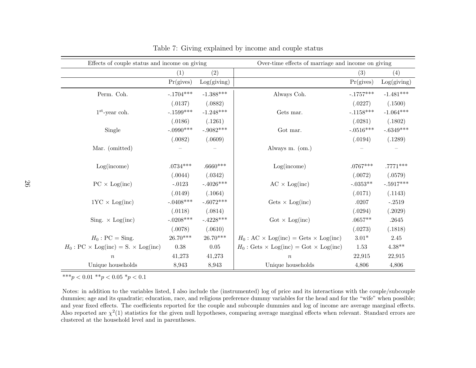| Effects of couple status and income on giving       |             |             | Over-time effects of marriage and income on giving     |               |             |  |
|-----------------------------------------------------|-------------|-------------|--------------------------------------------------------|---------------|-------------|--|
|                                                     | (1)         | (2)         |                                                        | (3)           | (4)         |  |
|                                                     | Pr(gives)   | Log(giving) |                                                        | Pr(gives)     | Log(giving) |  |
| Perm. Coh.                                          | $-.1704***$ | $-1.388***$ | Always Coh.                                            | $-.1757***$   | $-1.481***$ |  |
|                                                     | (.0137)     | (.0882)     |                                                        | (.0227)       | (.1500)     |  |
| $1st$ -year coh.                                    | $-.1599***$ | $-1.248***$ | Gets mar.                                              | $-.1158***$   | $-1.064***$ |  |
|                                                     | (.0186)     | (.1261)     |                                                        | (.0281)       | (.1802)     |  |
| Single                                              | $-.0990***$ | $-.9082***$ | Got mar.                                               | $-.0516***$   | $-.6349***$ |  |
|                                                     | (.0082)     | (.0609)     |                                                        | (.0194)       | (.1289)     |  |
| Mar. (omitted)                                      |             |             | Always m. (om.)                                        |               |             |  |
| Log(income)                                         | $.0734***$  | $.6660***$  | Log(income)                                            | $.0767***$    | $.7771***$  |  |
|                                                     | (.0044)     | (.0342)     |                                                        | (.0072)       | (.0579)     |  |
| $PC \times Log(inc)$                                | $-.0123$    | $-.4026***$ | $AC \times Log(inc)$                                   | $-.0353**$    | $-.5917***$ |  |
|                                                     | (.0149)     | (.1064)     |                                                        | (.0171)       | (.1143)     |  |
| $1YC \times Log(inc)$                               | $-.0408***$ | $-.6072***$ | $\text{Gets} \times \text{Log}(\text{inc})$            | .0207         | $-.2519$    |  |
|                                                     | (.0118)     | (.0814)     |                                                        | (.0294)       | (.2029)     |  |
| Sing. $\times$ Log(inc)                             | $-.0208***$ | $-.4228***$ | $\text{Got} \times \text{Log}(\text{inc})$             | $.0657**$     | .2645       |  |
|                                                     | (.0078)     | (.0610)     |                                                        | (.0273)       | (.1818)     |  |
| $H_0$ : PC = Sing.                                  | $26.70***$  | $26.70***$  | $H_0$ : AC $\times$ Log(inc) = Gets $\times$ Log(inc)  | $3.01^{\ast}$ | 2.45        |  |
| $H_0$ : PC $\times$ Log(inc) = S. $\times$ Log(inc) | $0.38\,$    | $0.05\,$    | $H_0$ : Gets $\times$ Log(inc) = Got $\times$ Log(inc) | 1.53          | $4.38**$    |  |
| $\boldsymbol{n}$                                    | 41,273      | 41,273      | $\boldsymbol{n}$                                       | 22,915        | 22,915      |  |
| Unique households                                   | 8,943       | 8,943       | Unique households                                      | 4,806         | 4,806       |  |

Table 7: Giving explained by income and couple status

\*\*\* $p < 0.01$  \*\* $p < 0.05$  \* $p < 0.1$ 

Notes: in addition to the variables listed, <sup>I</sup> also include the (instrumented) log of price and its interactions with the couple/subcouple dummies; age and its quadratic; education, race, and religious preference dummy variables for the head and for the "wife" when possible; and year fixed effects. The coefficients reported for the couple and subcouple dummies and log of income are average marginal effects.Also reported are  $\chi^2(1)$  statistics for the given null hypotheses, comparing average marginal effects when relevant. Standard errors are clustered at the household level and in parentheses.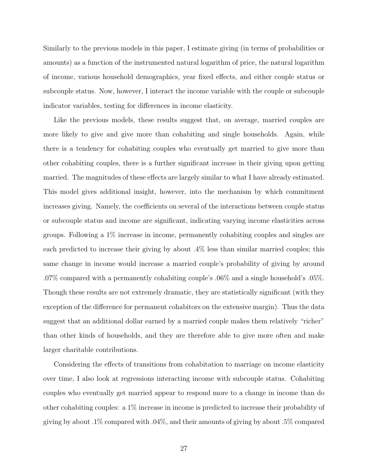Similarly to the previous models in this paper, I estimate giving (in terms of probabilities or amounts) as a function of the instrumented natural logarithm of price, the natural logarithm of income, various household demographics, year fixed effects, and either couple status or subcouple status. Now, however, I interact the income variable with the couple or subcouple indicator variables, testing for differences in income elasticity.

Like the previous models, these results suggest that, on average, married couples are more likely to give and give more than cohabiting and single households. Again, while there is a tendency for cohabiting couples who eventually get married to give more than other cohabiting couples, there is a further significant increase in their giving upon getting married. The magnitudes of these effects are largely similar to what I have already estimated. This model gives additional insight, however, into the mechanism by which commitment increases giving. Namely, the coefficients on several of the interactions between couple status or subcouple status and income are significant, indicating varying income elasticities across groups. Following a 1% increase in income, permanently cohabiting couples and singles are each predicted to increase their giving by about .4% less than similar married couples; this same change in income would increase a married couple's probability of giving by around .07% compared with a permanently cohabiting couple's .06% and a single household's .05%. Though these results are not extremely dramatic, they are statistically significant (with they exception of the difference for permanent cohabitors on the extensive margin). Thus the data suggest that an additional dollar earned by a married couple makes them relatively "richer" than other kinds of households, and they are therefore able to give more often and make larger charitable contributions.

Considering the effects of transitions from cohabitation to marriage on income elasticity over time, I also look at regressions interacting income with subcouple status. Cohabiting couples who eventually get married appear to respond more to a change in income than do other cohabiting couples: a 1% increase in income is predicted to increase their probability of giving by about .1% compared with .04%, and their amounts of giving by about .5% compared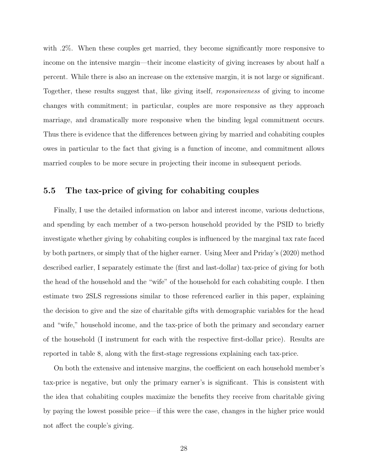with .2%. When these couples get married, they become significantly more responsive to income on the intensive margin—their income elasticity of giving increases by about half a percent. While there is also an increase on the extensive margin, it is not large or significant. Together, these results suggest that, like giving itself, responsiveness of giving to income changes with commitment; in particular, couples are more responsive as they approach marriage, and dramatically more responsive when the binding legal commitment occurs. Thus there is evidence that the differences between giving by married and cohabiting couples owes in particular to the fact that giving is a function of income, and commitment allows married couples to be more secure in projecting their income in subsequent periods.

#### 5.5 The tax-price of giving for cohabiting couples

Finally, I use the detailed information on labor and interest income, various deductions, and spending by each member of a two-person household provided by the PSID to briefly investigate whether giving by cohabiting couples is influenced by the marginal tax rate faced by both partners, or simply that of the higher earner. Using Meer and Priday's (2020) method described earlier, I separately estimate the (first and last-dollar) tax-price of giving for both the head of the household and the "wife" of the household for each cohabiting couple. I then estimate two 2SLS regressions similar to those referenced earlier in this paper, explaining the decision to give and the size of charitable gifts with demographic variables for the head and "wife," household income, and the tax-price of both the primary and secondary earner of the household (I instrument for each with the respective first-dollar price). Results are reported in table 8, along with the first-stage regressions explaining each tax-price.

On both the extensive and intensive margins, the coefficient on each household member's tax-price is negative, but only the primary earner's is significant. This is consistent with the idea that cohabiting couples maximize the benefits they receive from charitable giving by paying the lowest possible price—if this were the case, changes in the higher price would not affect the couple's giving.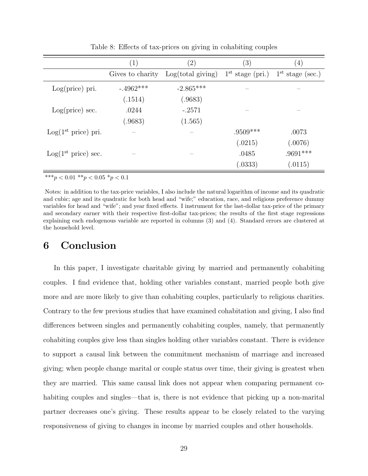|                           | $\left( 1\right)$ | $\left( 2\right)$ | (3)                | $\left( 4\right)$  |
|---------------------------|-------------------|-------------------|--------------------|--------------------|
|                           | Gives to charity  | Log(total giving) | $1st$ stage (pri.) | $1st$ stage (sec.) |
| Log(price) pri.           | $-4962***$        | $-2.865***$       |                    |                    |
|                           | (.1514)           | (.9683)           |                    |                    |
| $Log(price)$ sec.         | .0244             | $-.2571$          |                    |                    |
|                           | (.9683)           | (1.565)           |                    |                    |
| $Log(1^{st})$ price) pri. |                   |                   | $.9509***$         | .0073              |
|                           |                   |                   | (.0215)            | (.0076)            |
| $Log(1^{st})$ price) sec. |                   |                   | .0485              | $.9691***$         |
|                           |                   |                   | (.0333)            | (.0115)            |

Table 8: Effects of tax-prices on giving in cohabiting couples

\*\*\* $p < 0.01$ \*\* $p < 0.05$ \* $p < 0.1$ 

Notes: in addition to the tax-price variables, I also include the natural logarithm of income and its quadratic and cubic; age and its quadratic for both head and "wife;" education, race, and religious preference dummy variables for head and "wife"; and year fixed effects. I instrument for the last-dollar tax-price of the primary and secondary earner with their respective first-dollar tax-prices; the results of the first stage regressions explaining each endogenous variable are reported in columns (3) and (4). Standard errors are clustered at the household level.

## 6 Conclusion

In this paper, I investigate charitable giving by married and permanently cohabiting couples. I find evidence that, holding other variables constant, married people both give more and are more likely to give than cohabiting couples, particularly to religious charities. Contrary to the few previous studies that have examined cohabitation and giving, I also find differences between singles and permanently cohabiting couples, namely, that permanently cohabiting couples give less than singles holding other variables constant. There is evidence to support a causal link between the commitment mechanism of marriage and increased giving; when people change marital or couple status over time, their giving is greatest when they are married. This same causal link does not appear when comparing permanent cohabiting couples and singles—that is, there is not evidence that picking up a non-marital partner decreases one's giving. These results appear to be closely related to the varying responsiveness of giving to changes in income by married couples and other households.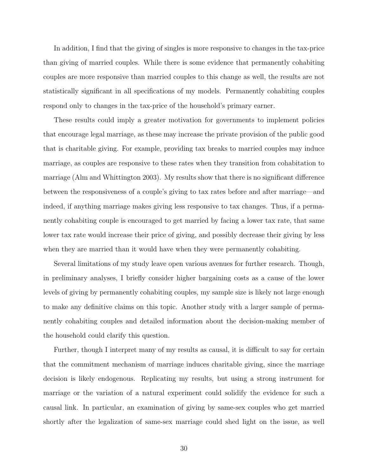In addition, I find that the giving of singles is more responsive to changes in the tax-price than giving of married couples. While there is some evidence that permanently cohabiting couples are more responsive than married couples to this change as well, the results are not statistically significant in all specifications of my models. Permanently cohabiting couples respond only to changes in the tax-price of the household's primary earner.

These results could imply a greater motivation for governments to implement policies that encourage legal marriage, as these may increase the private provision of the public good that is charitable giving. For example, providing tax breaks to married couples may induce marriage, as couples are responsive to these rates when they transition from cohabitation to marriage (Alm and Whittington 2003). My results show that there is no significant difference between the responsiveness of a couple's giving to tax rates before and after marriage—and indeed, if anything marriage makes giving less responsive to tax changes. Thus, if a permanently cohabiting couple is encouraged to get married by facing a lower tax rate, that same lower tax rate would increase their price of giving, and possibly decrease their giving by less when they are married than it would have when they were permanently cohabiting.

Several limitations of my study leave open various avenues for further research. Though, in preliminary analyses, I briefly consider higher bargaining costs as a cause of the lower levels of giving by permanently cohabiting couples, my sample size is likely not large enough to make any definitive claims on this topic. Another study with a larger sample of permanently cohabiting couples and detailed information about the decision-making member of the household could clarify this question.

Further, though I interpret many of my results as causal, it is difficult to say for certain that the commitment mechanism of marriage induces charitable giving, since the marriage decision is likely endogenous. Replicating my results, but using a strong instrument for marriage or the variation of a natural experiment could solidify the evidence for such a causal link. In particular, an examination of giving by same-sex couples who get married shortly after the legalization of same-sex marriage could shed light on the issue, as well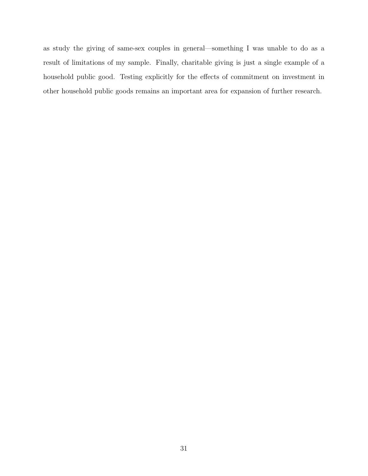as study the giving of same-sex couples in general—something I was unable to do as a result of limitations of my sample. Finally, charitable giving is just a single example of a household public good. Testing explicitly for the effects of commitment on investment in other household public goods remains an important area for expansion of further research.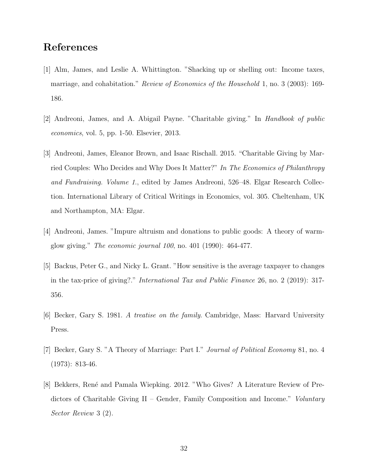## References

- [1] Alm, James, and Leslie A. Whittington. "Shacking up or shelling out: Income taxes, marriage, and cohabitation." *Review of Economics of the Household* 1, no. 3 (2003): 169-186.
- [2] Andreoni, James, and A. Abigail Payne. "Charitable giving." In Handbook of public economics, vol. 5, pp. 1-50. Elsevier, 2013.
- [3] Andreoni, James, Eleanor Brown, and Isaac Rischall. 2015. "Charitable Giving by Married Couples: Who Decides and Why Does It Matter?" In The Economics of Philanthropy and Fundraising. Volume 1., edited by James Andreoni, 526–48. Elgar Research Collection. International Library of Critical Writings in Economics, vol. 305. Cheltenham, UK and Northampton, MA: Elgar.
- [4] Andreoni, James. "Impure altruism and donations to public goods: A theory of warmglow giving." The economic journal 100, no. 401 (1990): 464-477.
- [5] Backus, Peter G., and Nicky L. Grant. "How sensitive is the average taxpayer to changes in the tax-price of giving?." International Tax and Public Finance 26, no. 2 (2019): 317- 356.
- [6] Becker, Gary S. 1981. A treatise on the family. Cambridge, Mass: Harvard University Press.
- [7] Becker, Gary S. "A Theory of Marriage: Part I." Journal of Political Economy 81, no. 4 (1973): 813-46.
- [8] Bekkers, René and Pamala Wiepking. 2012. "Who Gives? A Literature Review of Predictors of Charitable Giving II – Gender, Family Composition and Income." Voluntary Sector Review 3 (2).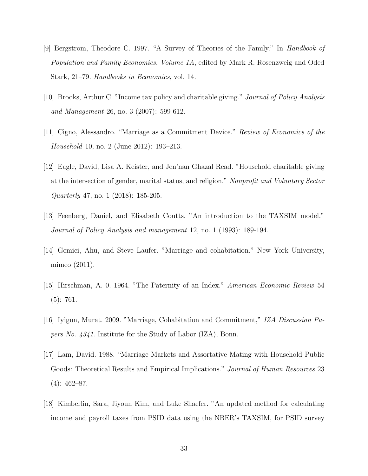- [9] Bergstrom, Theodore C. 1997. "A Survey of Theories of the Family." In Handbook of Population and Family Economics. Volume 1A, edited by Mark R. Rosenzweig and Oded Stark, 21–79. Handbooks in Economics, vol. 14.
- [10] Brooks, Arthur C. "Income tax policy and charitable giving." Journal of Policy Analysis and Management 26, no. 3 (2007): 599-612.
- [11] Cigno, Alessandro. "Marriage as a Commitment Device." Review of Economics of the Household 10, no. 2 (June 2012): 193–213.
- [12] Eagle, David, Lisa A. Keister, and Jen'nan Ghazal Read. "Household charitable giving at the intersection of gender, marital status, and religion." Nonprofit and Voluntary Sector Quarterly 47, no. 1 (2018): 185-205.
- [13] Feenberg, Daniel, and Elisabeth Coutts. "An introduction to the TAXSIM model." Journal of Policy Analysis and management 12, no. 1 (1993): 189-194.
- [14] Gemici, Ahu, and Steve Laufer. "Marriage and cohabitation." New York University, mimeo (2011).
- [15] Hirschman, A. 0. 1964. "The Paternity of an Index." American Economic Review 54 (5): 761.
- [16] Iyigun, Murat. 2009. "Marriage, Cohabitation and Commitment," IZA Discussion Papers No. 4341. Institute for the Study of Labor (IZA), Bonn.
- [17] Lam, David. 1988. "Marriage Markets and Assortative Mating with Household Public Goods: Theoretical Results and Empirical Implications." Journal of Human Resources 23  $(4): 462 - 87.$
- [18] Kimberlin, Sara, Jiyoun Kim, and Luke Shaefer. "An updated method for calculating income and payroll taxes from PSID data using the NBER's TAXSIM, for PSID survey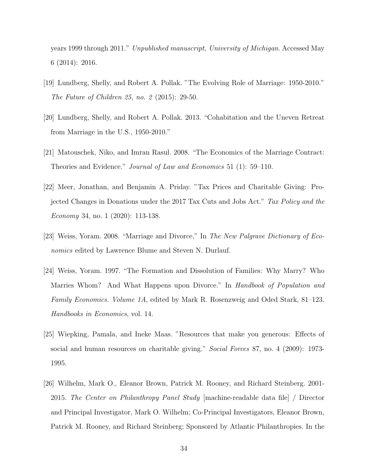years 1999 through 2011." Unpublished manuscript, University of Michigan. Accessed May 6 (2014): 2016.

- [19] Lundberg, Shelly, and Robert A. Pollak. "The Evolving Role of Marriage: 1950-2010." The Future of Children 25, no. 2 (2015): 29-50.
- [20] Lundberg, Shelly, and Robert A. Pollak. 2013. "Cohabitation and the Uneven Retreat from Marriage in the U.S., 1950-2010."
- [21] Matouschek, Niko, and Imran Rasul. 2008. "The Economics of the Marriage Contract: Theories and Evidence." Journal of Law and Economics 51 (1): 59–110.
- [22] Meer, Jonathan, and Benjamin A. Priday. "Tax Prices and Charitable Giving: Projected Changes in Donations under the 2017 Tax Cuts and Jobs Act." Tax Policy and the Economy 34, no. 1 (2020): 113-138.
- [23] Weiss, Yoram. 2008. "Marriage and Divorce," In The New Palgrave Dictionary of Economics edited by Lawrence Blume and Steven N. Durlauf.
- [24] Weiss, Yoram. 1997. "The Formation and Dissolution of Families: Why Marry? Who Marries Whom? And What Happens upon Divorce." In Handbook of Population and Family Economics. Volume 1A, edited by Mark R. Rosenzweig and Oded Stark, 81–123. Handbooks in Economics, vol. 14.
- [25] Wiepking, Pamala, and Ineke Maas. "Resources that make you generous: Effects of social and human resources on charitable giving." Social Forces 87, no. 4 (2009): 1973-1995.
- [26] Wilhelm, Mark O., Eleanor Brown, Patrick M. Rooney, and Richard Steinberg. 2001- 2015. The Center on Philanthropy Panel Study [machine-readable data file] / Director and Principal Investigator, Mark O. Wilhelm; Co-Principal Investigators, Eleanor Brown, Patrick M. Rooney, and Richard Steinberg; Sponsored by Atlantic Philanthropies. In the